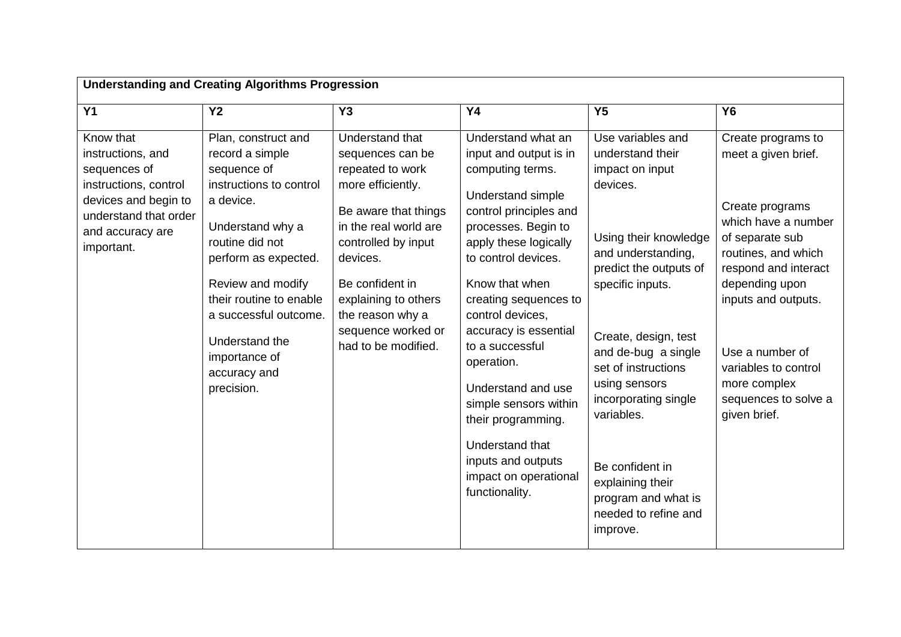| <b>Understanding and Creating Algorithms Progression</b>                                                                                                   |                                                                                                                                                                                                                                                                                                        |                                                                                                                                                                                                                                                                              |                                                                                                                                                                                                                                                                                                                                                                                                                                                                          |                                                                                                                                                                                                                                                                                                                                                                                                  |                                                                                                                                                                                                                                                                                                   |
|------------------------------------------------------------------------------------------------------------------------------------------------------------|--------------------------------------------------------------------------------------------------------------------------------------------------------------------------------------------------------------------------------------------------------------------------------------------------------|------------------------------------------------------------------------------------------------------------------------------------------------------------------------------------------------------------------------------------------------------------------------------|--------------------------------------------------------------------------------------------------------------------------------------------------------------------------------------------------------------------------------------------------------------------------------------------------------------------------------------------------------------------------------------------------------------------------------------------------------------------------|--------------------------------------------------------------------------------------------------------------------------------------------------------------------------------------------------------------------------------------------------------------------------------------------------------------------------------------------------------------------------------------------------|---------------------------------------------------------------------------------------------------------------------------------------------------------------------------------------------------------------------------------------------------------------------------------------------------|
| $\overline{Y1}$                                                                                                                                            | <b>Y2</b>                                                                                                                                                                                                                                                                                              | Y <sub>3</sub>                                                                                                                                                                                                                                                               | <b>Y4</b>                                                                                                                                                                                                                                                                                                                                                                                                                                                                | Y <sub>5</sub>                                                                                                                                                                                                                                                                                                                                                                                   | <b>Y6</b>                                                                                                                                                                                                                                                                                         |
| Know that<br>instructions, and<br>sequences of<br>instructions, control<br>devices and begin to<br>understand that order<br>and accuracy are<br>important. | Plan, construct and<br>record a simple<br>sequence of<br>instructions to control<br>a device.<br>Understand why a<br>routine did not<br>perform as expected.<br>Review and modify<br>their routine to enable<br>a successful outcome.<br>Understand the<br>importance of<br>accuracy and<br>precision. | Understand that<br>sequences can be<br>repeated to work<br>more efficiently.<br>Be aware that things<br>in the real world are<br>controlled by input<br>devices.<br>Be confident in<br>explaining to others<br>the reason why a<br>sequence worked or<br>had to be modified. | Understand what an<br>input and output is in<br>computing terms.<br>Understand simple<br>control principles and<br>processes. Begin to<br>apply these logically<br>to control devices.<br>Know that when<br>creating sequences to<br>control devices,<br>accuracy is essential<br>to a successful<br>operation.<br>Understand and use<br>simple sensors within<br>their programming.<br>Understand that<br>inputs and outputs<br>impact on operational<br>functionality. | Use variables and<br>understand their<br>impact on input<br>devices.<br>Using their knowledge<br>and understanding,<br>predict the outputs of<br>specific inputs.<br>Create, design, test<br>and de-bug a single<br>set of instructions<br>using sensors<br>incorporating single<br>variables.<br>Be confident in<br>explaining their<br>program and what is<br>needed to refine and<br>improve. | Create programs to<br>meet a given brief.<br>Create programs<br>which have a number<br>of separate sub<br>routines, and which<br>respond and interact<br>depending upon<br>inputs and outputs.<br>Use a number of<br>variables to control<br>more complex<br>sequences to solve a<br>given brief. |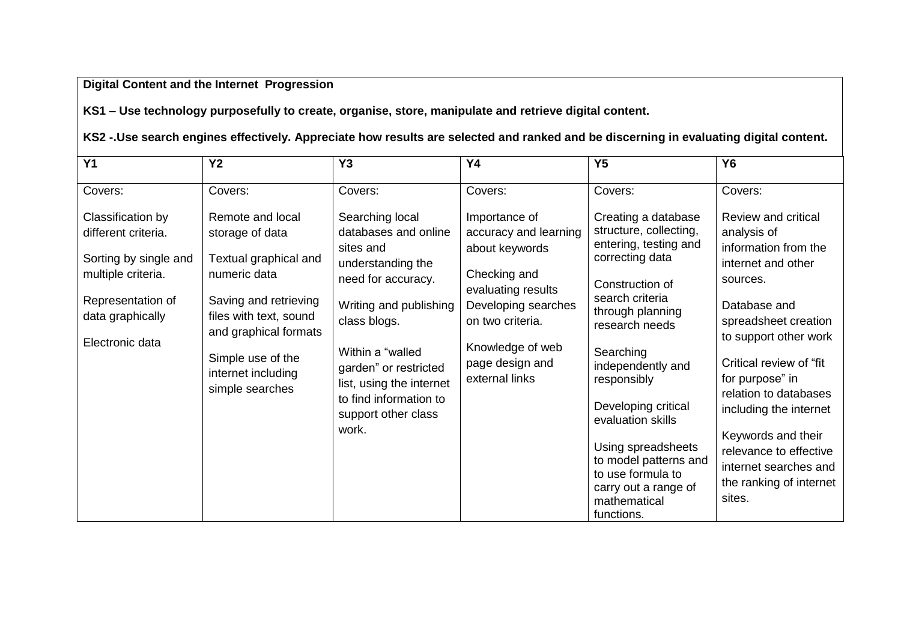# **Digital Content and the Internet Progression**

**KS1 – Use technology purposefully to create, organise, store, manipulate and retrieve digital content.** 

**KS2 -.Use search engines effectively. Appreciate how results are selected and ranked and be discerning in evaluating digital content.**

| $\overline{Y1}$                                                                                                                                     | <b>Y2</b>                                                                                                                                                                                                              | Y <sub>3</sub>                                                                                                                                                                                                                                                               | <b>Y4</b>                                                                                                                                                                                          | Y <sub>5</sub>                                                                                                                                                                                                                                                                                                                                                                               | <b>Y6</b>                                                                                                                                                                                                                                                                                                                                                                     |
|-----------------------------------------------------------------------------------------------------------------------------------------------------|------------------------------------------------------------------------------------------------------------------------------------------------------------------------------------------------------------------------|------------------------------------------------------------------------------------------------------------------------------------------------------------------------------------------------------------------------------------------------------------------------------|----------------------------------------------------------------------------------------------------------------------------------------------------------------------------------------------------|----------------------------------------------------------------------------------------------------------------------------------------------------------------------------------------------------------------------------------------------------------------------------------------------------------------------------------------------------------------------------------------------|-------------------------------------------------------------------------------------------------------------------------------------------------------------------------------------------------------------------------------------------------------------------------------------------------------------------------------------------------------------------------------|
| Covers:                                                                                                                                             | Covers:                                                                                                                                                                                                                | Covers:                                                                                                                                                                                                                                                                      | Covers:                                                                                                                                                                                            | Covers:                                                                                                                                                                                                                                                                                                                                                                                      | Covers:                                                                                                                                                                                                                                                                                                                                                                       |
| Classification by<br>different criteria.<br>Sorting by single and<br>multiple criteria.<br>Representation of<br>data graphically<br>Electronic data | Remote and local<br>storage of data<br>Textual graphical and<br>numeric data<br>Saving and retrieving<br>files with text, sound<br>and graphical formats<br>Simple use of the<br>internet including<br>simple searches | Searching local<br>databases and online<br>sites and<br>understanding the<br>need for accuracy.<br>Writing and publishing<br>class blogs.<br>Within a "walled<br>garden" or restricted<br>list, using the internet<br>to find information to<br>support other class<br>work. | Importance of<br>accuracy and learning<br>about keywords<br>Checking and<br>evaluating results<br>Developing searches<br>on two criteria.<br>Knowledge of web<br>page design and<br>external links | Creating a database<br>structure, collecting,<br>entering, testing and<br>correcting data<br>Construction of<br>search criteria<br>through planning<br>research needs<br>Searching<br>independently and<br>responsibly<br>Developing critical<br>evaluation skills<br>Using spreadsheets<br>to model patterns and<br>to use formula to<br>carry out a range of<br>mathematical<br>functions. | Review and critical<br>analysis of<br>information from the<br>internet and other<br>sources.<br>Database and<br>spreadsheet creation<br>to support other work<br>Critical review of "fit"<br>for purpose" in<br>relation to databases<br>including the internet<br>Keywords and their<br>relevance to effective<br>internet searches and<br>the ranking of internet<br>sites. |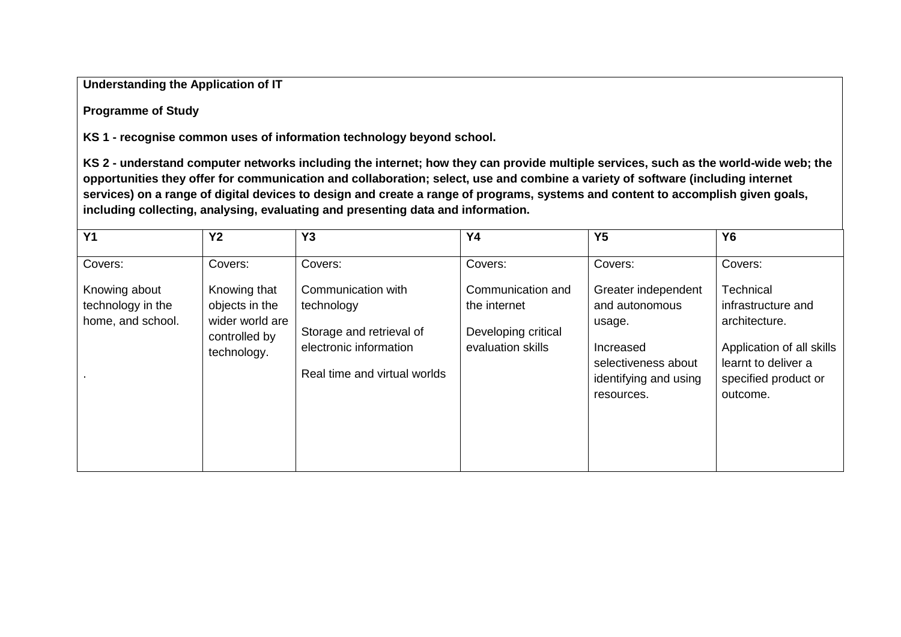### **Understanding the Application of IT**

### **Programme of Study**

**KS 1 - recognise common uses of information technology beyond school.**

**KS 2 - understand computer networks including the internet; how they can provide multiple services, such as the world-wide web; the opportunities they offer for communication and collaboration; select, use and combine a variety of software (including internet services) on a range of digital devices to design and create a range of programs, systems and content to accomplish given goals, including collecting, analysing, evaluating and presenting data and information.**

| Y <sub>1</sub>                                          | <b>Y2</b>                                                                         | Y <sub>3</sub>                                                                                                         | <b>Y4</b>                                                                     | Y <sub>5</sub>                                                                                                             | <b>Y6</b>                                                                                                                                |
|---------------------------------------------------------|-----------------------------------------------------------------------------------|------------------------------------------------------------------------------------------------------------------------|-------------------------------------------------------------------------------|----------------------------------------------------------------------------------------------------------------------------|------------------------------------------------------------------------------------------------------------------------------------------|
| Covers:                                                 | Covers:                                                                           | Covers:                                                                                                                | Covers:                                                                       | Covers:                                                                                                                    | Covers:                                                                                                                                  |
| Knowing about<br>technology in the<br>home, and school. | Knowing that<br>objects in the<br>wider world are<br>controlled by<br>technology. | Communication with<br>technology<br>Storage and retrieval of<br>electronic information<br>Real time and virtual worlds | Communication and<br>the internet<br>Developing critical<br>evaluation skills | Greater independent<br>and autonomous<br>usage.<br>Increased<br>selectiveness about<br>identifying and using<br>resources. | Technical<br>infrastructure and<br>architecture.<br>Application of all skills<br>learnt to deliver a<br>specified product or<br>outcome. |